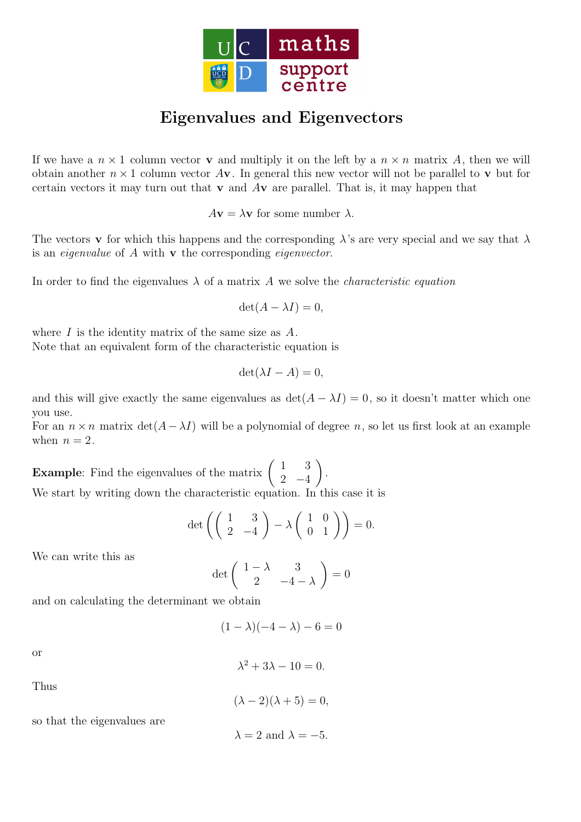

## Eigenvalues and Eigenvectors

If we have a  $n \times 1$  column vector **v** and multiply it on the left by a  $n \times n$  matrix A, then we will obtain another  $n \times 1$  column vector  $A$ **v**. In general this new vector will not be parallel to **v** but for certain vectors it may turn out that  $\bf{v}$  and  $\bf{A}\bf{v}$  are parallel. That is, it may happen that

 $A\mathbf{v} = \lambda \mathbf{v}$  for some number  $\lambda$ .

The vectors **v** for which this happens and the corresponding  $\lambda$ 's are very special and we say that  $\lambda$ is an eigenvalue of A with v the corresponding eigenvector.

In order to find the eigenvalues  $\lambda$  of a matrix A we solve the *characteristic equation* 

$$
\det(A - \lambda I) = 0,
$$

where  $I$  is the identity matrix of the same size as  $A$ . Note that an equivalent form of the characteristic equation is

$$
\det(\lambda I - A) = 0,
$$

and this will give exactly the same eigenvalues as  $\det(A - \lambda I) = 0$ , so it doesn't matter which one you use.

For an  $n \times n$  matrix  $\det(A - \lambda I)$  will be a polynomial of degree n, so let us first look at an example when  $n = 2$ .

**Example:** Find the eigenvalues of the matrix  $\begin{pmatrix} 1 & 3 \\ 2 & 4 \end{pmatrix}$  $2 -4$  $\setminus$ . We start by writing down the characteristic equation. In this case it is

$$
\det\left(\left(\begin{array}{cc} 1 & 3 \\ 2 & -4 \end{array}\right) - \lambda \left(\begin{array}{cc} 1 & 0 \\ 0 & 1 \end{array}\right)\right) = 0.
$$

We can write this as

$$
\det\left(\begin{array}{cc} 1-\lambda & 3\\ 2 & -4-\lambda \end{array}\right) = 0
$$

and on calculating the determinant we obtain

$$
(1 - \lambda)(-4 - \lambda) - 6 = 0
$$

or

$$
\lambda^2 + 3\lambda - 10 = 0.
$$

Thus

$$
(\lambda - 2)(\lambda + 5) = 0,
$$

so that the eigenvalues are

 $\lambda = 2$  and  $\lambda = -5$ .